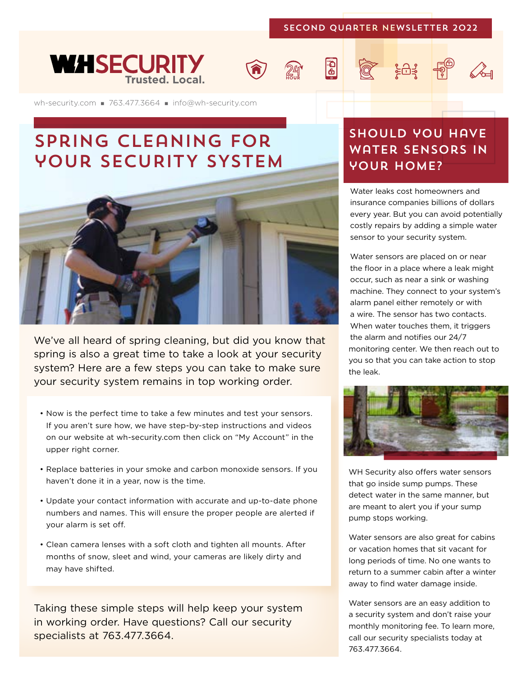#### SECOND Quarter Newsletter 2022

 $\overline{\mathbf{B}}$ 







## spring cleaning for your SECURITY SYSTEM



We've all heard of spring cleaning, but did you know that spring is also a great time to take a look at your security system? Here are a few steps you can take to make sure your security system remains in top working order.

- Now is the perfect time to take a few minutes and test your sensors. If you aren't sure how, we have step-by-step instructions and videos on our website at wh-security.com then click on "My Account" in the upper right corner.
- Replace batteries in your smoke and carbon monoxide sensors. If you haven't done it in a year, now is the time.
- Update your contact information with accurate and up-to-date phone numbers and names. This will ensure the proper people are alerted if your alarm is set off.
- Clean camera lenses with a soft cloth and tighten all mounts. After months of snow, sleet and wind, your cameras are likely dirty and may have shifted.

Taking these simple steps will help keep your system in working order. Have questions? Call our security specialists at 763.477.3664.

### should you have water sensors in YOUR HOME?

**Q** Ed F A

Water leaks cost homeowners and insurance companies billions of dollars every year. But you can avoid potentially costly repairs by adding a simple water sensor to your security system.

Water sensors are placed on or near the floor in a place where a leak might occur, such as near a sink or washing machine. They connect to your system's alarm panel either remotely or with a wire. The sensor has two contacts. When water touches them, it triggers the alarm and notifies our 24/7 monitoring center. We then reach out to you so that you can take action to stop the leak.



WH Security also offers water sensors that go inside sump pumps. These detect water in the same manner, but are meant to alert you if your sump pump stops working.

Water sensors are also great for cabins or vacation homes that sit vacant for long periods of time. No one wants to return to a summer cabin after a winter away to find water damage inside.

Water sensors are an easy addition to a security system and don't raise your monthly monitoring fee. To learn more, call our security specialists today at 763.477.3664.